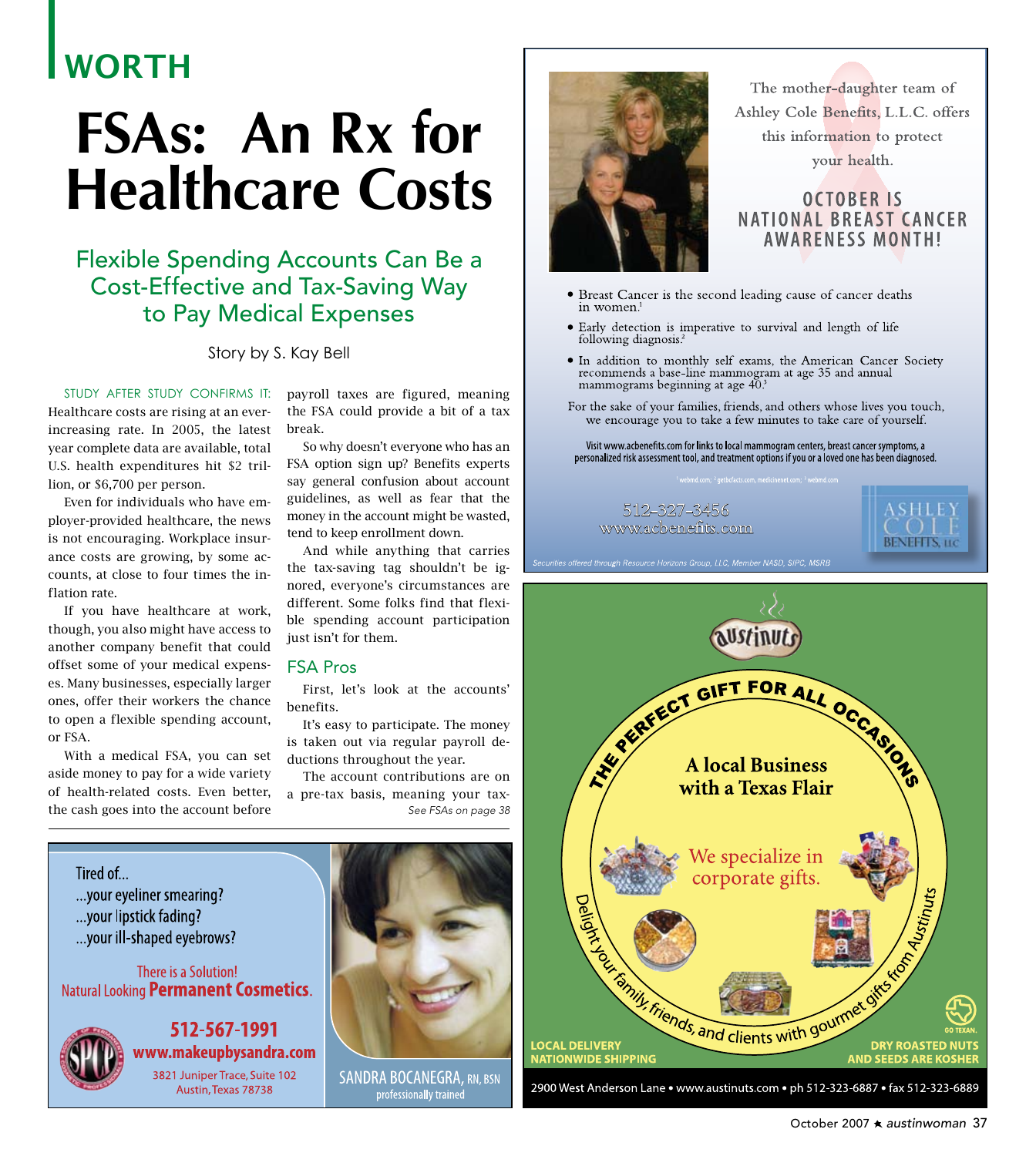# **WORTH**

# **FSAs: An Rx for Healthcare Costs**

## Flexible Spending Accounts Can Be a **Cost-Effective and Tax-Saving Way** to Pay Medical Expenses

#### Story by S. Kay Bell

STUDY AFTER STUDY CONFIRMS IT: Healthcare costs are rising at an everincreasing rate. In 2005, the latest year complete data are available, total U.S. health expenditures hit \$2 trillion, or \$6,700 per person.

Even for individuals who have employer-provided healthcare, the news is not encouraging. Workplace insurance costs are growing, by some accounts, at close to four times the inflation rate.

If you have healthcare at work, though, you also might have access to another company benefit that could offset some of your medical expenses. Many businesses, especially larger ones, offer their workers the chance to open a flexible spending account. or FSA.

With a medical FSA, you can set aside money to pay for a wide variety of health-related costs. Even better, the cash goes into the account before

payroll taxes are figured, meaning the FSA could provide a bit of a tax break.

So why doesn't everyone who has an FSA option sign up? Benefits experts say general confusion about account guidelines, as well as fear that the money in the account might be wasted, tend to keep enrollment down.

And while anything that carries the tax-saving tag shouldn't be ignored, everyone's circumstances are different. Some folks find that flexible spending account participation just isn't for them.

#### **FSA Pros**

First, let's look at the accounts' benefits.

It's easy to participate. The money is taken out via regular payroll deductions throughout the year.

The account contributions are on a pre-tax basis, meaning your tax-See FSAs on page 38

The mother-daughter team of Ashley Cole Benefits, L.L.C. offers this information to protect your health.

## **OCTOBER IS NATIONAL BREAST CANCER AWARENESS MONTH!**

- Breast Cancer is the second leading cause of cancer deaths in women.
- Early detection is imperative to survival and length of life following diagnosis.<sup>2</sup>
- · In addition to monthly self exams, the American Cancer Society recommends a base-line mammogram at age 35 and annual mammograms beginning at age 40.
- For the sake of your families, friends, and others whose lives you touch, we encourage you to take a few minutes to take care of yourself.

Visit www.acbenefits.com for links to local mammogram centers, breast cancer symptoms, a personalized risk assessment tool, and treatment options if you or a loved one has been diagnosed.

512–327–3456 www.acbenefits.com





Tired of... ... your eyeliner smearing? ... your lipstick fading? ... your ill-shaped eyebrows?

There is a Solution! Natural Looking Permanent Cosmetics.



512-567-1991 www.makeupbysandra.com

3821 Juniper Trace, Suite 102 Austin, Texas 78738



**SANDRA BOCANEGRA, RN, BSN** professionally trained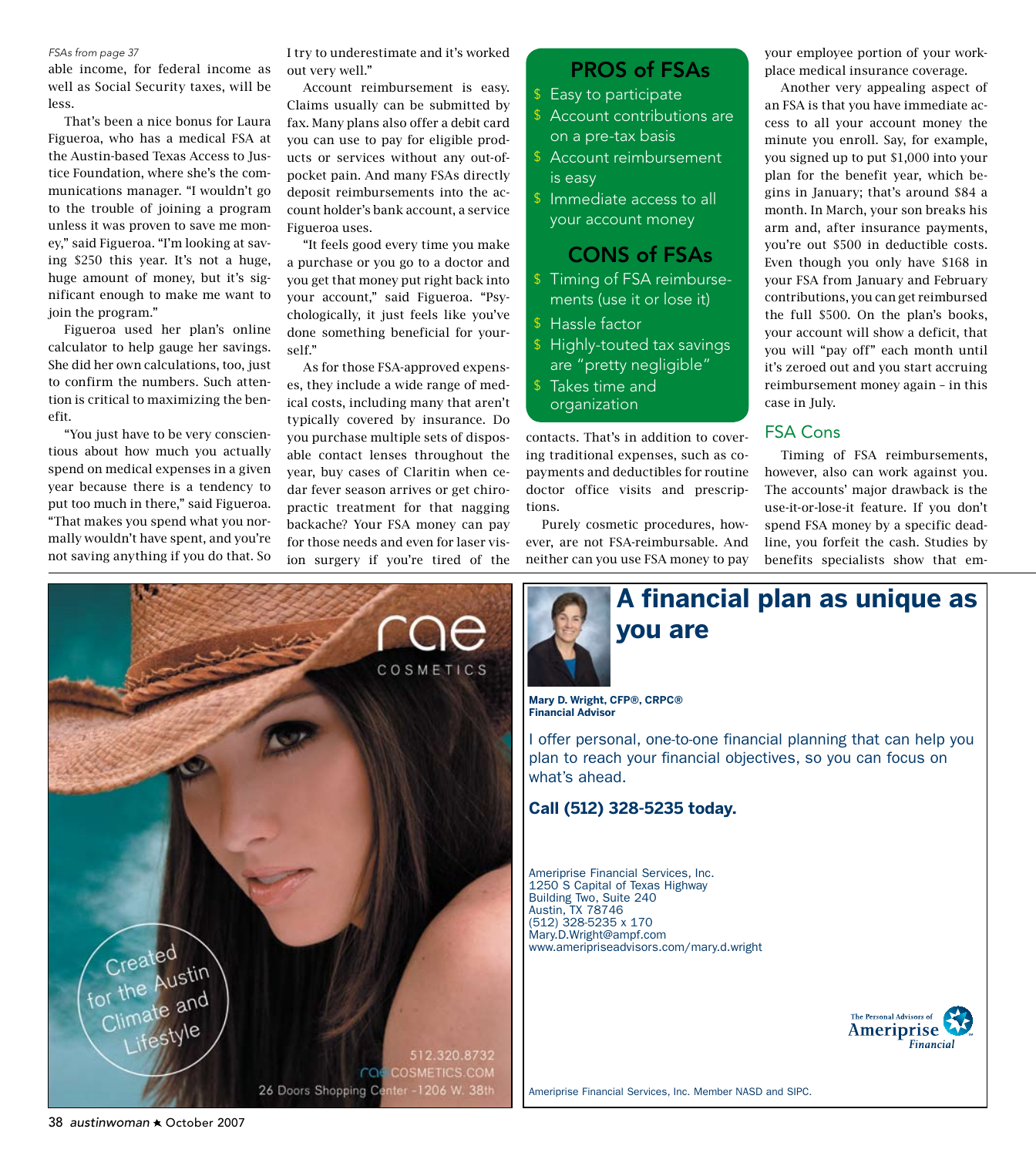#### FSAs from page 37

able income, for federal income as well as Social Security taxes, will be less.

That's been a nice bonus for Laura Figueroa, who has a medical FSA at the Austin-based Texas Access to Justice Foundation, where she's the communications manager. "I wouldn't go to the trouble of joining a program unless it was proven to save me money," said Figueroa. "I'm looking at saving \$250 this year. It's not a huge, huge amount of money, but it's significant enough to make me want to join the program."

Figueroa used her plan's online calculator to help gauge her savings. She did her own calculations, too, just to confirm the numbers. Such attention is critical to maximizing the benefit.

"You just have to be very conscientious about how much you actually spend on medical expenses in a given year because there is a tendency to put too much in there," said Figueroa. "That makes you spend what you normally wouldn't have spent, and you're not saving anything if you do that. So I try to underestimate and it's worked out very well."

Account reimbursement is easy. Claims usually can be submitted by fax. Many plans also offer a debit card you can use to pay for eligible products or services without any out-ofpocket pain. And many FSAs directly deposit reimbursements into the account holder's bank account, a service Figueroa uses.

"It feels good every time you make a purchase or you go to a doctor and you get that money put right back into your account," said Figueroa. "Psychologically, it just feels like you've done something beneficial for yourself."

As for those FSA-approved expenses, they include a wide range of medical costs, including many that aren't typically covered by insurance. Do you purchase multiple sets of disposable contact lenses throughout the year, buy cases of Claritin when cedar fever season arrives or get chiropractic treatment for that nagging backache? Your FSA money can pay for those needs and even for laser vision surgery if you're tired of the

## **PROS of FSAs**

- \$ Easy to participate
- \$ Account contributions are on a pre-tax basis
- \$ Account reimbursement is easy
- \$ Immediate access to all your account money

### **CONS of FSAs**

- \$ Timing of FSA reimbursements (use it or lose it)
- \$ Hassle factor
- \$ Highly-touted tax savings are "pretty negligible"
- \$ Takes time and organization

contacts. That's in addition to covering traditional expenses, such as copayments and deductibles for routine doctor office visits and prescriptions.

Purely cosmetic procedures, however, are not FSA-reimbursable. And neither can you use FSA money to pay

your employee portion of your workplace medical insurance coverage.

Another very appealing aspect of an FSA is that you have immediate access to all your account money the minute you enroll. Say, for example, you signed up to put \$1,000 into your plan for the benefit year, which begins in January; that's around \$84 a month. In March, your son breaks his arm and, after insurance payments, you're out \$500 in deductible costs. Even though you only have \$168 in your FSA from January and February contributions, you can get reimbursed the full \$500. On the plan's books, your account will show a deficit, that you will "pay off" each month until it's zeroed out and you start accruing reimbursement money again - in this case in July.

#### **FSA Cons**

Timing of FSA reimbursements, however, also can work against you. The accounts' major drawback is the use-it-or-lose-it feature. If you don't spend FSA money by a specific deadline, you forfeit the cash. Studies by benefits specialists show that em-



A financial plan as unique as **you are** 

Mary D. Wright, CFP®, CRPC® **Financial Advisor** 

I offer personal, one-to-one financial planning that can help you plan to reach your financial objectives, so you can focus on what's ahead.

#### Call (512) 328-5235 today.

Ameriprise Financial Services, Inc. 1250 S Capital of Texas Highway Building Two, Suite 240<br>Austin, TX 78746<br>(512) 328-5235 x 170 Mary.D.Wright@ampf.com www.ameripriseadvisors.com/mary.d.wright



Ameriprise Financial Services, Inc. Member NASD and SIPC.